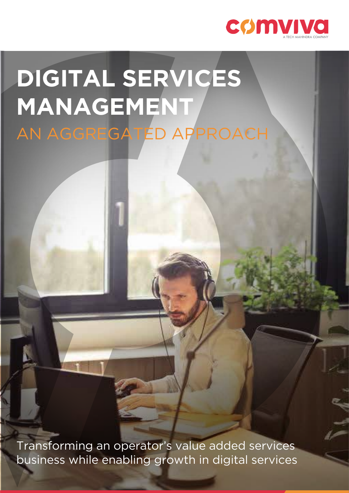

# **DIGITAL SERVICES MANAGEMENT** AN AGGREGATED APPROACH

Transforming an operator's value added services business while enabling growth in digital services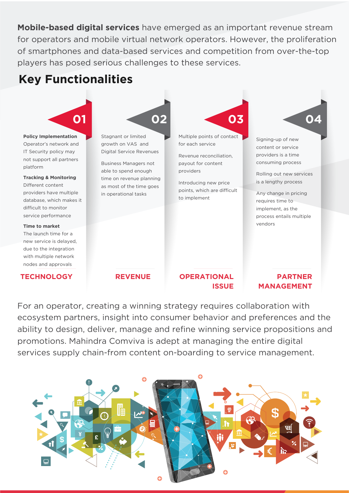**Mobile-based digital services** have emerged as an important revenue stream for operators and mobile virtual network operators. However, the proliferation of smartphones and data-based services and competition from over-the-top players has posed serious challenges to these services.

## **Key Functionalities**



For an operator, creating a winning strategy requires collaboration with ecosystem partners, insight into consumer behavior and preferences and the ability to design, deliver, manage and refine winning service propositions and promotions. Mahindra Comviva is adept at managing the entire digital services supply chain-from content on-boarding to service management.

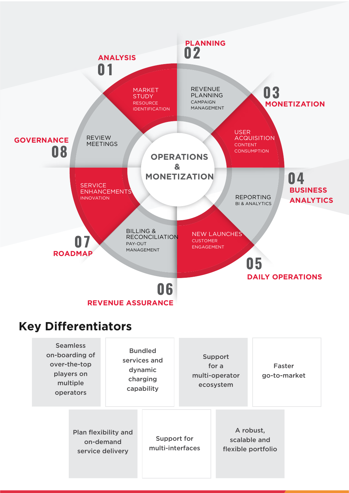

Plan flexibility and on-demand service delivery

Support for multi-interfaces

A robust, scalable and flexible portfolio